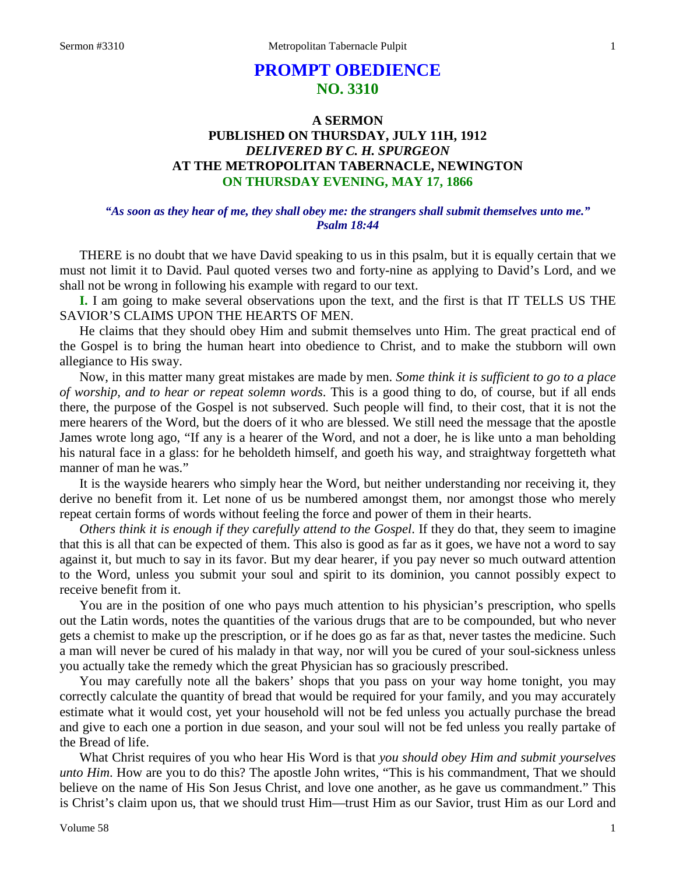# **PROMPT OBEDIENCE NO. 3310**

## **A SERMON PUBLISHED ON THURSDAY, JULY 11H, 1912** *DELIVERED BY C. H. SPURGEON* **AT THE METROPOLITAN TABERNACLE, NEWINGTON ON THURSDAY EVENING, MAY 17, 1866**

### *"As soon as they hear of me, they shall obey me: the strangers shall submit themselves unto me." Psalm 18:44*

THERE is no doubt that we have David speaking to us in this psalm, but it is equally certain that we must not limit it to David. Paul quoted verses two and forty-nine as applying to David's Lord, and we shall not be wrong in following his example with regard to our text.

**I.** I am going to make several observations upon the text, and the first is that IT TELLS US THE SAVIOR'S CLAIMS UPON THE HEARTS OF MEN.

He claims that they should obey Him and submit themselves unto Him. The great practical end of the Gospel is to bring the human heart into obedience to Christ, and to make the stubborn will own allegiance to His sway.

Now, in this matter many great mistakes are made by men. *Some think it is sufficient to go to a place of worship, and to hear or repeat solemn words*. This is a good thing to do, of course, but if all ends there, the purpose of the Gospel is not subserved. Such people will find, to their cost, that it is not the mere hearers of the Word, but the doers of it who are blessed. We still need the message that the apostle James wrote long ago, "If any is a hearer of the Word, and not a doer, he is like unto a man beholding his natural face in a glass: for he beholdeth himself, and goeth his way, and straightway forgetteth what manner of man he was."

It is the wayside hearers who simply hear the Word, but neither understanding nor receiving it, they derive no benefit from it. Let none of us be numbered amongst them, nor amongst those who merely repeat certain forms of words without feeling the force and power of them in their hearts.

*Others think it is enough if they carefully attend to the Gospel*. If they do that, they seem to imagine that this is all that can be expected of them. This also is good as far as it goes, we have not a word to say against it, but much to say in its favor. But my dear hearer, if you pay never so much outward attention to the Word, unless you submit your soul and spirit to its dominion, you cannot possibly expect to receive benefit from it.

You are in the position of one who pays much attention to his physician's prescription, who spells out the Latin words, notes the quantities of the various drugs that are to be compounded, but who never gets a chemist to make up the prescription, or if he does go as far as that, never tastes the medicine. Such a man will never be cured of his malady in that way, nor will you be cured of your soul-sickness unless you actually take the remedy which the great Physician has so graciously prescribed.

You may carefully note all the bakers' shops that you pass on your way home tonight, you may correctly calculate the quantity of bread that would be required for your family, and you may accurately estimate what it would cost, yet your household will not be fed unless you actually purchase the bread and give to each one a portion in due season, and your soul will not be fed unless you really partake of the Bread of life.

What Christ requires of you who hear His Word is that *you should obey Him and submit yourselves unto Him*. How are you to do this? The apostle John writes, "This is his commandment, That we should believe on the name of His Son Jesus Christ, and love one another, as he gave us commandment." This is Christ's claim upon us, that we should trust Him—trust Him as our Savior, trust Him as our Lord and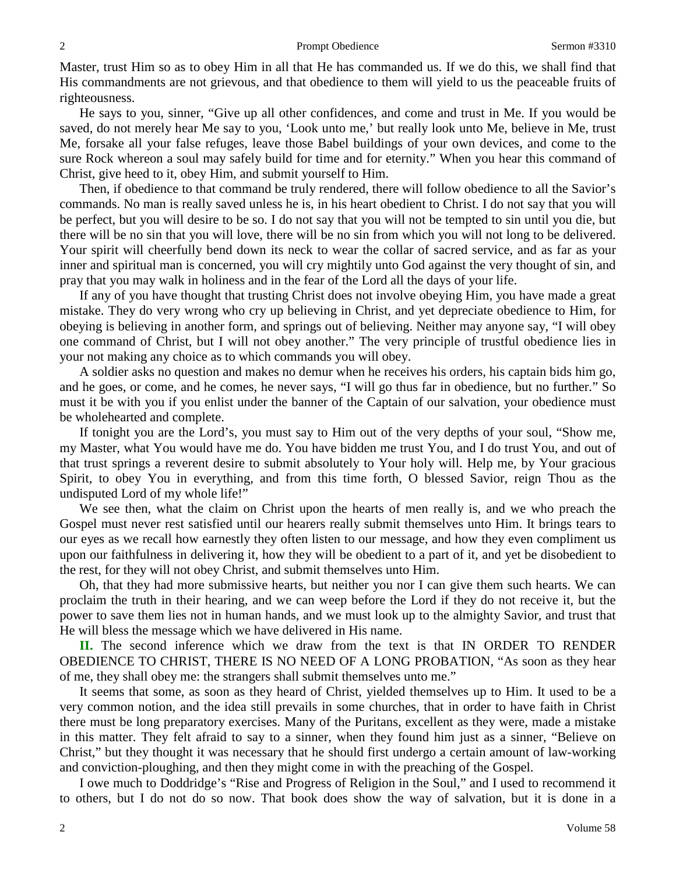Master, trust Him so as to obey Him in all that He has commanded us. If we do this, we shall find that His commandments are not grievous, and that obedience to them will yield to us the peaceable fruits of righteousness.

He says to you, sinner, "Give up all other confidences, and come and trust in Me. If you would be saved, do not merely hear Me say to you, 'Look unto me,' but really look unto Me, believe in Me, trust Me, forsake all your false refuges, leave those Babel buildings of your own devices, and come to the sure Rock whereon a soul may safely build for time and for eternity." When you hear this command of Christ, give heed to it, obey Him, and submit yourself to Him.

Then, if obedience to that command be truly rendered, there will follow obedience to all the Savior's commands. No man is really saved unless he is, in his heart obedient to Christ. I do not say that you will be perfect, but you will desire to be so. I do not say that you will not be tempted to sin until you die, but there will be no sin that you will love, there will be no sin from which you will not long to be delivered. Your spirit will cheerfully bend down its neck to wear the collar of sacred service, and as far as your inner and spiritual man is concerned, you will cry mightily unto God against the very thought of sin, and pray that you may walk in holiness and in the fear of the Lord all the days of your life.

If any of you have thought that trusting Christ does not involve obeying Him, you have made a great mistake. They do very wrong who cry up believing in Christ, and yet depreciate obedience to Him, for obeying is believing in another form, and springs out of believing. Neither may anyone say, "I will obey one command of Christ, but I will not obey another." The very principle of trustful obedience lies in your not making any choice as to which commands you will obey.

A soldier asks no question and makes no demur when he receives his orders, his captain bids him go, and he goes, or come, and he comes, he never says, "I will go thus far in obedience, but no further." So must it be with you if you enlist under the banner of the Captain of our salvation, your obedience must be wholehearted and complete.

If tonight you are the Lord's, you must say to Him out of the very depths of your soul, "Show me, my Master, what You would have me do. You have bidden me trust You, and I do trust You, and out of that trust springs a reverent desire to submit absolutely to Your holy will. Help me, by Your gracious Spirit, to obey You in everything, and from this time forth, O blessed Savior, reign Thou as the undisputed Lord of my whole life!"

We see then, what the claim on Christ upon the hearts of men really is, and we who preach the Gospel must never rest satisfied until our hearers really submit themselves unto Him. It brings tears to our eyes as we recall how earnestly they often listen to our message, and how they even compliment us upon our faithfulness in delivering it, how they will be obedient to a part of it, and yet be disobedient to the rest, for they will not obey Christ, and submit themselves unto Him.

Oh, that they had more submissive hearts, but neither you nor I can give them such hearts. We can proclaim the truth in their hearing, and we can weep before the Lord if they do not receive it, but the power to save them lies not in human hands, and we must look up to the almighty Savior, and trust that He will bless the message which we have delivered in His name.

**II.** The second inference which we draw from the text is that IN ORDER TO RENDER OBEDIENCE TO CHRIST, THERE IS NO NEED OF A LONG PROBATION, "As soon as they hear of me, they shall obey me: the strangers shall submit themselves unto me."

It seems that some, as soon as they heard of Christ, yielded themselves up to Him. It used to be a very common notion, and the idea still prevails in some churches, that in order to have faith in Christ there must be long preparatory exercises. Many of the Puritans, excellent as they were, made a mistake in this matter. They felt afraid to say to a sinner, when they found him just as a sinner, "Believe on Christ," but they thought it was necessary that he should first undergo a certain amount of law-working and conviction-ploughing, and then they might come in with the preaching of the Gospel.

I owe much to Doddridge's "Rise and Progress of Religion in the Soul," and I used to recommend it to others, but I do not do so now. That book does show the way of salvation, but it is done in a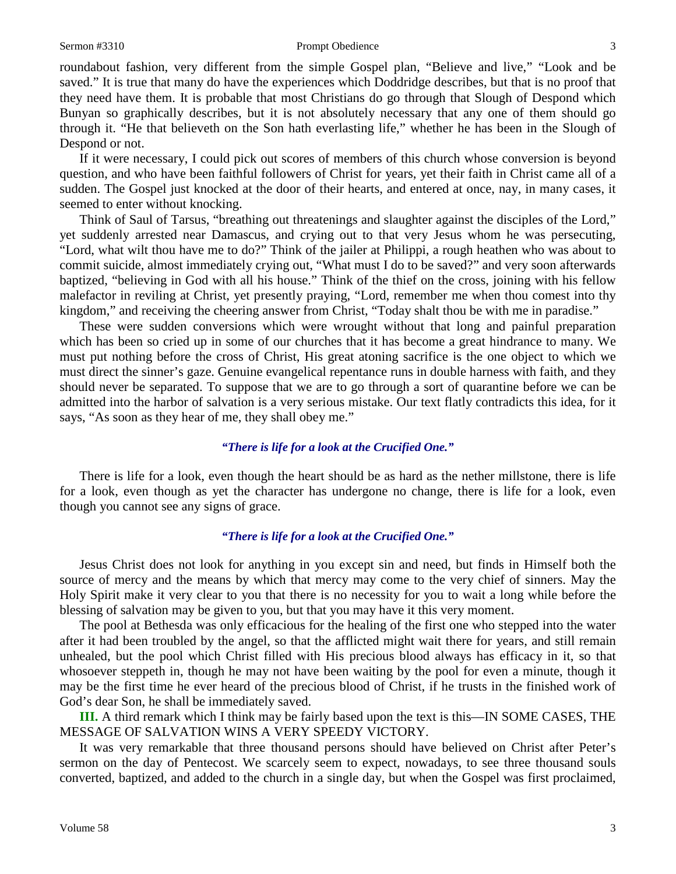### Sermon #3310 **Prompt Obedience** 3

roundabout fashion, very different from the simple Gospel plan, "Believe and live," "Look and be saved." It is true that many do have the experiences which Doddridge describes, but that is no proof that they need have them. It is probable that most Christians do go through that Slough of Despond which Bunyan so graphically describes, but it is not absolutely necessary that any one of them should go through it. "He that believeth on the Son hath everlasting life," whether he has been in the Slough of Despond or not.

If it were necessary, I could pick out scores of members of this church whose conversion is beyond question, and who have been faithful followers of Christ for years, yet their faith in Christ came all of a sudden. The Gospel just knocked at the door of their hearts, and entered at once, nay, in many cases, it seemed to enter without knocking.

Think of Saul of Tarsus, "breathing out threatenings and slaughter against the disciples of the Lord," yet suddenly arrested near Damascus, and crying out to that very Jesus whom he was persecuting, "Lord, what wilt thou have me to do?" Think of the jailer at Philippi, a rough heathen who was about to commit suicide, almost immediately crying out, "What must I do to be saved?" and very soon afterwards baptized, "believing in God with all his house." Think of the thief on the cross, joining with his fellow malefactor in reviling at Christ, yet presently praying, "Lord, remember me when thou comest into thy kingdom," and receiving the cheering answer from Christ, "Today shalt thou be with me in paradise."

These were sudden conversions which were wrought without that long and painful preparation which has been so cried up in some of our churches that it has become a great hindrance to many. We must put nothing before the cross of Christ, His great atoning sacrifice is the one object to which we must direct the sinner's gaze. Genuine evangelical repentance runs in double harness with faith, and they should never be separated. To suppose that we are to go through a sort of quarantine before we can be admitted into the harbor of salvation is a very serious mistake. Our text flatly contradicts this idea, for it says, "As soon as they hear of me, they shall obey me."

### *"There is life for a look at the Crucified One."*

There is life for a look, even though the heart should be as hard as the nether millstone, there is life for a look, even though as yet the character has undergone no change, there is life for a look, even though you cannot see any signs of grace.

### *"There is life for a look at the Crucified One."*

Jesus Christ does not look for anything in you except sin and need, but finds in Himself both the source of mercy and the means by which that mercy may come to the very chief of sinners. May the Holy Spirit make it very clear to you that there is no necessity for you to wait a long while before the blessing of salvation may be given to you, but that you may have it this very moment.

The pool at Bethesda was only efficacious for the healing of the first one who stepped into the water after it had been troubled by the angel, so that the afflicted might wait there for years, and still remain unhealed, but the pool which Christ filled with His precious blood always has efficacy in it, so that whosoever steppeth in, though he may not have been waiting by the pool for even a minute, though it may be the first time he ever heard of the precious blood of Christ, if he trusts in the finished work of God's dear Son, he shall be immediately saved.

**III.** A third remark which I think may be fairly based upon the text is this—IN SOME CASES, THE MESSAGE OF SALVATION WINS A VERY SPEEDY VICTORY.

It was very remarkable that three thousand persons should have believed on Christ after Peter's sermon on the day of Pentecost. We scarcely seem to expect, nowadays, to see three thousand souls converted, baptized, and added to the church in a single day, but when the Gospel was first proclaimed,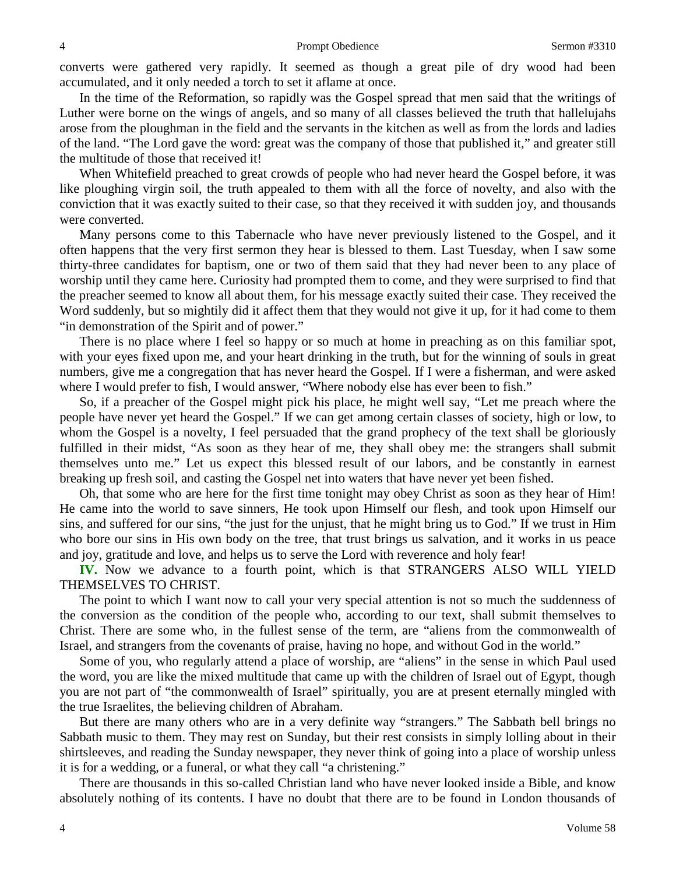converts were gathered very rapidly. It seemed as though a great pile of dry wood had been accumulated, and it only needed a torch to set it aflame at once.

In the time of the Reformation, so rapidly was the Gospel spread that men said that the writings of Luther were borne on the wings of angels, and so many of all classes believed the truth that hallelujahs arose from the ploughman in the field and the servants in the kitchen as well as from the lords and ladies of the land. "The Lord gave the word: great was the company of those that published it," and greater still the multitude of those that received it!

When Whitefield preached to great crowds of people who had never heard the Gospel before, it was like ploughing virgin soil, the truth appealed to them with all the force of novelty, and also with the conviction that it was exactly suited to their case, so that they received it with sudden joy, and thousands were converted.

Many persons come to this Tabernacle who have never previously listened to the Gospel, and it often happens that the very first sermon they hear is blessed to them. Last Tuesday, when I saw some thirty-three candidates for baptism, one or two of them said that they had never been to any place of worship until they came here. Curiosity had prompted them to come, and they were surprised to find that the preacher seemed to know all about them, for his message exactly suited their case. They received the Word suddenly, but so mightily did it affect them that they would not give it up, for it had come to them "in demonstration of the Spirit and of power."

There is no place where I feel so happy or so much at home in preaching as on this familiar spot, with your eyes fixed upon me, and your heart drinking in the truth, but for the winning of souls in great numbers, give me a congregation that has never heard the Gospel. If I were a fisherman, and were asked where I would prefer to fish, I would answer, "Where nobody else has ever been to fish."

So, if a preacher of the Gospel might pick his place, he might well say, "Let me preach where the people have never yet heard the Gospel." If we can get among certain classes of society, high or low, to whom the Gospel is a novelty, I feel persuaded that the grand prophecy of the text shall be gloriously fulfilled in their midst, "As soon as they hear of me, they shall obey me: the strangers shall submit themselves unto me." Let us expect this blessed result of our labors, and be constantly in earnest breaking up fresh soil, and casting the Gospel net into waters that have never yet been fished.

Oh, that some who are here for the first time tonight may obey Christ as soon as they hear of Him! He came into the world to save sinners, He took upon Himself our flesh, and took upon Himself our sins, and suffered for our sins, "the just for the unjust, that he might bring us to God." If we trust in Him who bore our sins in His own body on the tree, that trust brings us salvation, and it works in us peace and joy, gratitude and love, and helps us to serve the Lord with reverence and holy fear!

**IV.** Now we advance to a fourth point, which is that STRANGERS ALSO WILL YIELD THEMSELVES TO CHRIST.

The point to which I want now to call your very special attention is not so much the suddenness of the conversion as the condition of the people who, according to our text, shall submit themselves to Christ. There are some who, in the fullest sense of the term, are "aliens from the commonwealth of Israel, and strangers from the covenants of praise, having no hope, and without God in the world."

Some of you, who regularly attend a place of worship, are "aliens" in the sense in which Paul used the word, you are like the mixed multitude that came up with the children of Israel out of Egypt, though you are not part of "the commonwealth of Israel" spiritually, you are at present eternally mingled with the true Israelites, the believing children of Abraham.

But there are many others who are in a very definite way "strangers." The Sabbath bell brings no Sabbath music to them. They may rest on Sunday, but their rest consists in simply lolling about in their shirtsleeves, and reading the Sunday newspaper, they never think of going into a place of worship unless it is for a wedding, or a funeral, or what they call "a christening."

There are thousands in this so-called Christian land who have never looked inside a Bible, and know absolutely nothing of its contents. I have no doubt that there are to be found in London thousands of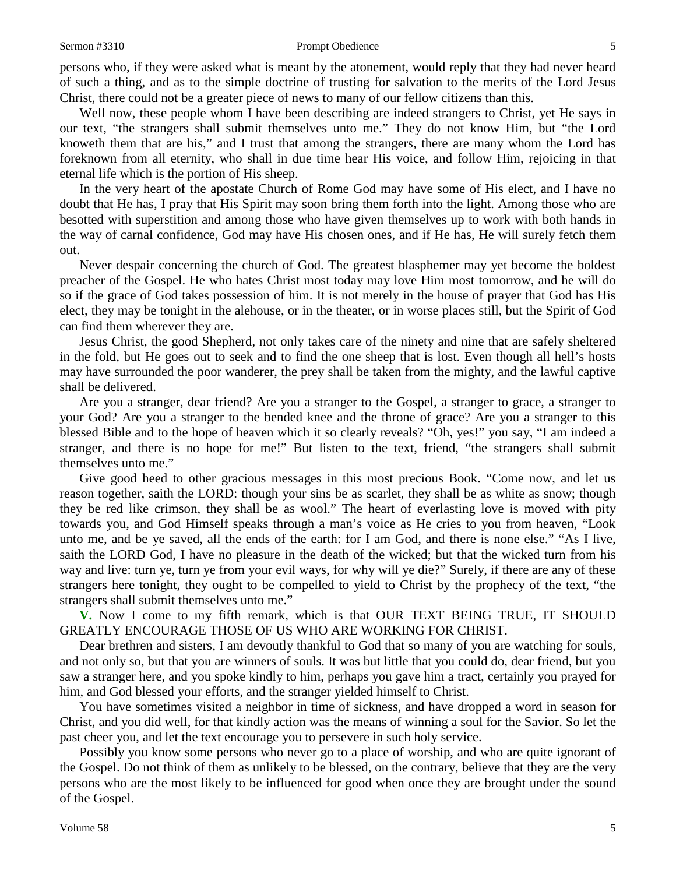### Sermon #3310 **Prompt Obedience** 5

persons who, if they were asked what is meant by the atonement, would reply that they had never heard of such a thing, and as to the simple doctrine of trusting for salvation to the merits of the Lord Jesus Christ, there could not be a greater piece of news to many of our fellow citizens than this.

Well now, these people whom I have been describing are indeed strangers to Christ, yet He says in our text, "the strangers shall submit themselves unto me." They do not know Him, but "the Lord knoweth them that are his," and I trust that among the strangers, there are many whom the Lord has foreknown from all eternity, who shall in due time hear His voice, and follow Him, rejoicing in that eternal life which is the portion of His sheep.

In the very heart of the apostate Church of Rome God may have some of His elect, and I have no doubt that He has, I pray that His Spirit may soon bring them forth into the light. Among those who are besotted with superstition and among those who have given themselves up to work with both hands in the way of carnal confidence, God may have His chosen ones, and if He has, He will surely fetch them out.

Never despair concerning the church of God. The greatest blasphemer may yet become the boldest preacher of the Gospel. He who hates Christ most today may love Him most tomorrow, and he will do so if the grace of God takes possession of him. It is not merely in the house of prayer that God has His elect, they may be tonight in the alehouse, or in the theater, or in worse places still, but the Spirit of God can find them wherever they are.

Jesus Christ, the good Shepherd, not only takes care of the ninety and nine that are safely sheltered in the fold, but He goes out to seek and to find the one sheep that is lost. Even though all hell's hosts may have surrounded the poor wanderer, the prey shall be taken from the mighty, and the lawful captive shall be delivered.

Are you a stranger, dear friend? Are you a stranger to the Gospel, a stranger to grace, a stranger to your God? Are you a stranger to the bended knee and the throne of grace? Are you a stranger to this blessed Bible and to the hope of heaven which it so clearly reveals? "Oh, yes!" you say, "I am indeed a stranger, and there is no hope for me!" But listen to the text, friend, "the strangers shall submit themselves unto me."

Give good heed to other gracious messages in this most precious Book. "Come now, and let us reason together, saith the LORD: though your sins be as scarlet, they shall be as white as snow; though they be red like crimson, they shall be as wool." The heart of everlasting love is moved with pity towards you, and God Himself speaks through a man's voice as He cries to you from heaven, "Look unto me, and be ye saved, all the ends of the earth: for I am God, and there is none else." "As I live, saith the LORD God, I have no pleasure in the death of the wicked; but that the wicked turn from his way and live: turn ye, turn ye from your evil ways, for why will ye die?" Surely, if there are any of these strangers here tonight, they ought to be compelled to yield to Christ by the prophecy of the text, "the strangers shall submit themselves unto me."

**V.** Now I come to my fifth remark, which is that OUR TEXT BEING TRUE, IT SHOULD GREATLY ENCOURAGE THOSE OF US WHO ARE WORKING FOR CHRIST.

Dear brethren and sisters, I am devoutly thankful to God that so many of you are watching for souls, and not only so, but that you are winners of souls. It was but little that you could do, dear friend, but you saw a stranger here, and you spoke kindly to him, perhaps you gave him a tract, certainly you prayed for him, and God blessed your efforts, and the stranger yielded himself to Christ.

You have sometimes visited a neighbor in time of sickness, and have dropped a word in season for Christ, and you did well, for that kindly action was the means of winning a soul for the Savior. So let the past cheer you, and let the text encourage you to persevere in such holy service.

Possibly you know some persons who never go to a place of worship, and who are quite ignorant of the Gospel. Do not think of them as unlikely to be blessed, on the contrary, believe that they are the very persons who are the most likely to be influenced for good when once they are brought under the sound of the Gospel.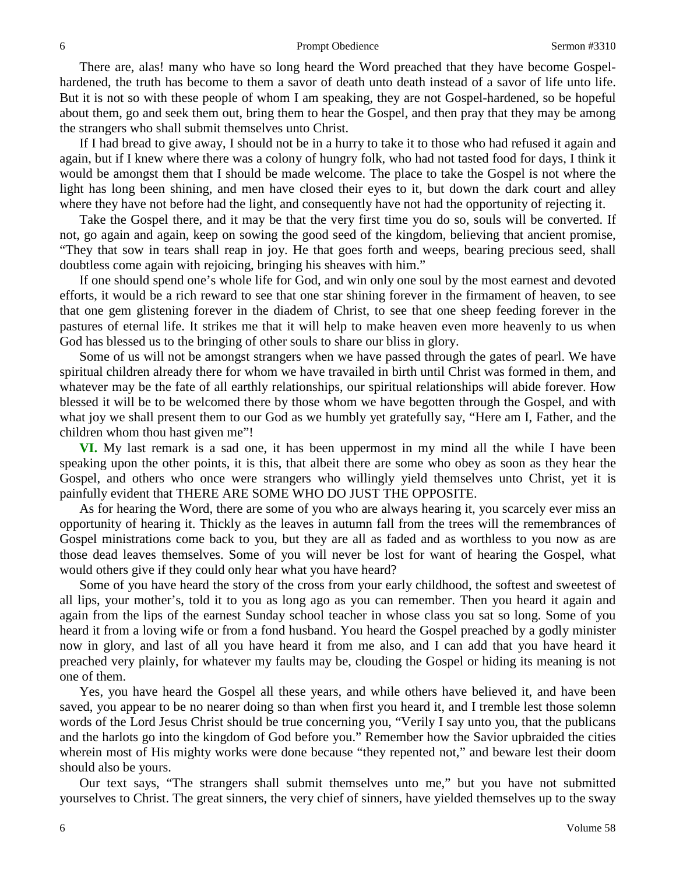There are, alas! many who have so long heard the Word preached that they have become Gospelhardened, the truth has become to them a savor of death unto death instead of a savor of life unto life. But it is not so with these people of whom I am speaking, they are not Gospel-hardened, so be hopeful about them, go and seek them out, bring them to hear the Gospel, and then pray that they may be among the strangers who shall submit themselves unto Christ.

If I had bread to give away, I should not be in a hurry to take it to those who had refused it again and again, but if I knew where there was a colony of hungry folk, who had not tasted food for days, I think it would be amongst them that I should be made welcome. The place to take the Gospel is not where the light has long been shining, and men have closed their eyes to it, but down the dark court and alley where they have not before had the light, and consequently have not had the opportunity of rejecting it.

Take the Gospel there, and it may be that the very first time you do so, souls will be converted. If not, go again and again, keep on sowing the good seed of the kingdom, believing that ancient promise, "They that sow in tears shall reap in joy. He that goes forth and weeps, bearing precious seed, shall doubtless come again with rejoicing, bringing his sheaves with him."

If one should spend one's whole life for God, and win only one soul by the most earnest and devoted efforts, it would be a rich reward to see that one star shining forever in the firmament of heaven, to see that one gem glistening forever in the diadem of Christ, to see that one sheep feeding forever in the pastures of eternal life. It strikes me that it will help to make heaven even more heavenly to us when God has blessed us to the bringing of other souls to share our bliss in glory.

Some of us will not be amongst strangers when we have passed through the gates of pearl. We have spiritual children already there for whom we have travailed in birth until Christ was formed in them, and whatever may be the fate of all earthly relationships, our spiritual relationships will abide forever. How blessed it will be to be welcomed there by those whom we have begotten through the Gospel, and with what joy we shall present them to our God as we humbly yet gratefully say, "Here am I, Father, and the children whom thou hast given me"!

**VI.** My last remark is a sad one, it has been uppermost in my mind all the while I have been speaking upon the other points, it is this, that albeit there are some who obey as soon as they hear the Gospel, and others who once were strangers who willingly yield themselves unto Christ, yet it is painfully evident that THERE ARE SOME WHO DO JUST THE OPPOSITE.

As for hearing the Word, there are some of you who are always hearing it, you scarcely ever miss an opportunity of hearing it. Thickly as the leaves in autumn fall from the trees will the remembrances of Gospel ministrations come back to you, but they are all as faded and as worthless to you now as are those dead leaves themselves. Some of you will never be lost for want of hearing the Gospel, what would others give if they could only hear what you have heard?

Some of you have heard the story of the cross from your early childhood, the softest and sweetest of all lips, your mother's, told it to you as long ago as you can remember. Then you heard it again and again from the lips of the earnest Sunday school teacher in whose class you sat so long. Some of you heard it from a loving wife or from a fond husband. You heard the Gospel preached by a godly minister now in glory, and last of all you have heard it from me also, and I can add that you have heard it preached very plainly, for whatever my faults may be, clouding the Gospel or hiding its meaning is not one of them.

Yes, you have heard the Gospel all these years, and while others have believed it, and have been saved, you appear to be no nearer doing so than when first you heard it, and I tremble lest those solemn words of the Lord Jesus Christ should be true concerning you, "Verily I say unto you, that the publicans and the harlots go into the kingdom of God before you." Remember how the Savior upbraided the cities wherein most of His mighty works were done because "they repented not," and beware lest their doom should also be yours.

Our text says, "The strangers shall submit themselves unto me," but you have not submitted yourselves to Christ. The great sinners, the very chief of sinners, have yielded themselves up to the sway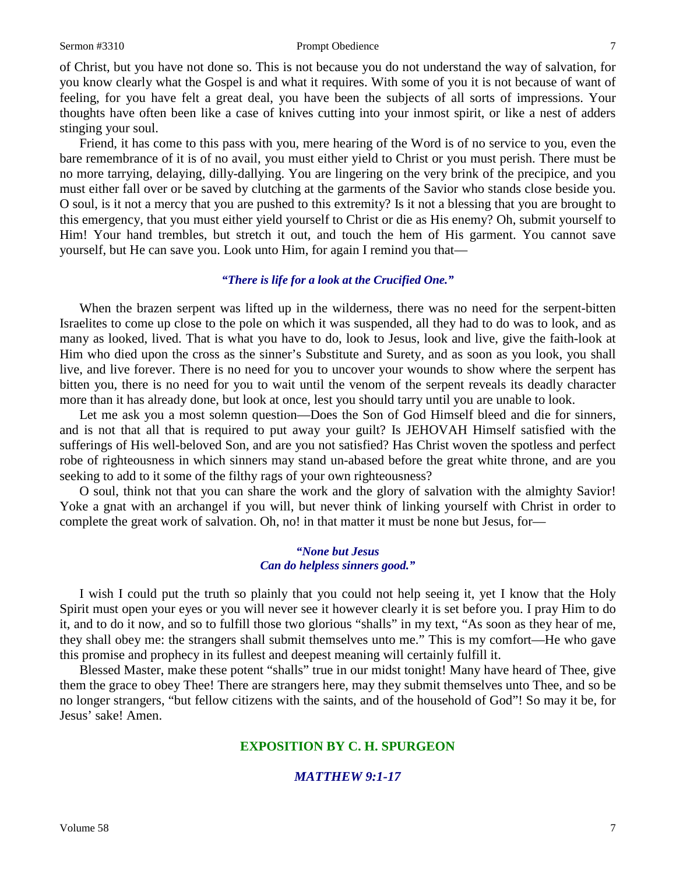### Sermon #3310 **Prompt Obedience** 7

of Christ, but you have not done so. This is not because you do not understand the way of salvation, for you know clearly what the Gospel is and what it requires. With some of you it is not because of want of feeling, for you have felt a great deal, you have been the subjects of all sorts of impressions. Your thoughts have often been like a case of knives cutting into your inmost spirit, or like a nest of adders stinging your soul.

Friend, it has come to this pass with you, mere hearing of the Word is of no service to you, even the bare remembrance of it is of no avail, you must either yield to Christ or you must perish. There must be no more tarrying, delaying, dilly-dallying. You are lingering on the very brink of the precipice, and you must either fall over or be saved by clutching at the garments of the Savior who stands close beside you. O soul, is it not a mercy that you are pushed to this extremity? Is it not a blessing that you are brought to this emergency, that you must either yield yourself to Christ or die as His enemy? Oh, submit yourself to Him! Your hand trembles, but stretch it out, and touch the hem of His garment. You cannot save yourself, but He can save you. Look unto Him, for again I remind you that—

## *"There is life for a look at the Crucified One."*

When the brazen serpent was lifted up in the wilderness, there was no need for the serpent-bitten Israelites to come up close to the pole on which it was suspended, all they had to do was to look, and as many as looked, lived. That is what you have to do, look to Jesus, look and live, give the faith-look at Him who died upon the cross as the sinner's Substitute and Surety, and as soon as you look, you shall live, and live forever. There is no need for you to uncover your wounds to show where the serpent has bitten you, there is no need for you to wait until the venom of the serpent reveals its deadly character more than it has already done, but look at once, lest you should tarry until you are unable to look.

Let me ask you a most solemn question—Does the Son of God Himself bleed and die for sinners, and is not that all that is required to put away your guilt? Is JEHOVAH Himself satisfied with the sufferings of His well-beloved Son, and are you not satisfied? Has Christ woven the spotless and perfect robe of righteousness in which sinners may stand un-abased before the great white throne, and are you seeking to add to it some of the filthy rags of your own righteousness?

O soul, think not that you can share the work and the glory of salvation with the almighty Savior! Yoke a gnat with an archangel if you will, but never think of linking yourself with Christ in order to complete the great work of salvation. Oh, no! in that matter it must be none but Jesus, for—

### *"None but Jesus Can do helpless sinners good."*

I wish I could put the truth so plainly that you could not help seeing it, yet I know that the Holy Spirit must open your eyes or you will never see it however clearly it is set before you. I pray Him to do it, and to do it now, and so to fulfill those two glorious "shalls" in my text, "As soon as they hear of me, they shall obey me: the strangers shall submit themselves unto me." This is my comfort—He who gave this promise and prophecy in its fullest and deepest meaning will certainly fulfill it.

Blessed Master, make these potent "shalls" true in our midst tonight! Many have heard of Thee, give them the grace to obey Thee! There are strangers here, may they submit themselves unto Thee, and so be no longer strangers, "but fellow citizens with the saints, and of the household of God"! So may it be, for Jesus' sake! Amen.

## **EXPOSITION BY C. H. SPURGEON**

## *MATTHEW 9:1-17*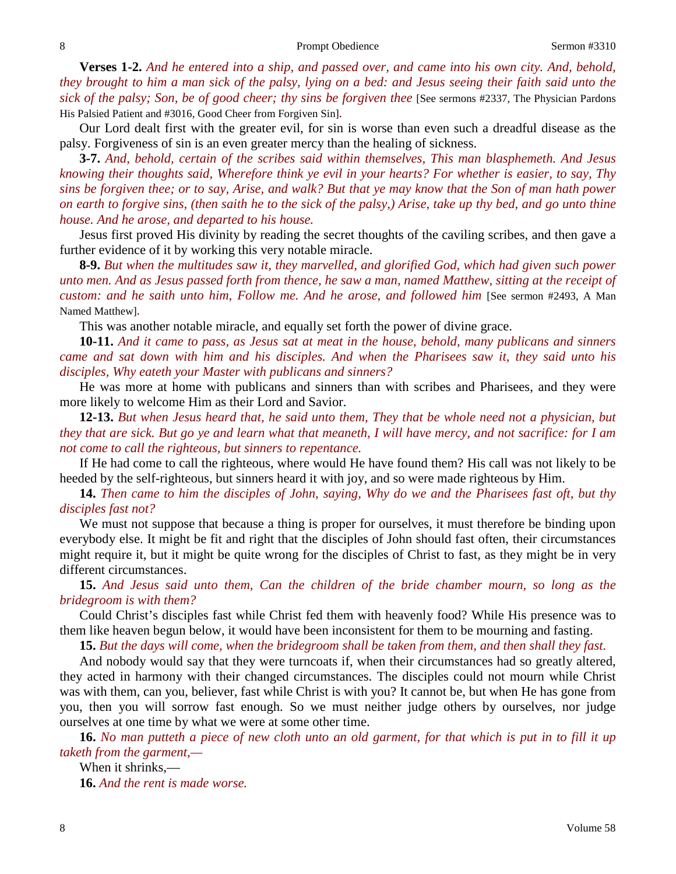**Verses 1-2.** *And he entered into a ship, and passed over, and came into his own city. And, behold, they brought to him a man sick of the palsy, lying on a bed: and Jesus seeing their faith said unto the sick of the palsy; Son, be of good cheer; thy sins be forgiven thee* [See sermons #2337, The Physician Pardons His Palsied Patient and #3016, Good Cheer from Forgiven Sin]*.*

Our Lord dealt first with the greater evil, for sin is worse than even such a dreadful disease as the palsy. Forgiveness of sin is an even greater mercy than the healing of sickness.

**3-7.** *And, behold, certain of the scribes said within themselves, This man blasphemeth. And Jesus knowing their thoughts said, Wherefore think ye evil in your hearts? For whether is easier, to say, Thy sins be forgiven thee; or to say, Arise, and walk? But that ye may know that the Son of man hath power on earth to forgive sins, (then saith he to the sick of the palsy,) Arise, take up thy bed, and go unto thine house. And he arose, and departed to his house.*

Jesus first proved His divinity by reading the secret thoughts of the caviling scribes, and then gave a further evidence of it by working this very notable miracle.

**8-9.** *But when the multitudes saw it, they marvelled, and glorified God, which had given such power unto men. And as Jesus passed forth from thence, he saw a man, named Matthew, sitting at the receipt of custom: and he saith unto him, Follow me. And he arose, and followed him* [See sermon #2493, A Man Named Matthew]*.*

This was another notable miracle, and equally set forth the power of divine grace.

**10-11.** *And it came to pass, as Jesus sat at meat in the house, behold, many publicans and sinners came and sat down with him and his disciples. And when the Pharisees saw it, they said unto his disciples, Why eateth your Master with publicans and sinners?*

He was more at home with publicans and sinners than with scribes and Pharisees, and they were more likely to welcome Him as their Lord and Savior.

**12-13.** *But when Jesus heard that, he said unto them, They that be whole need not a physician, but they that are sick. But go ye and learn what that meaneth, I will have mercy, and not sacrifice: for I am not come to call the righteous, but sinners to repentance.*

If He had come to call the righteous, where would He have found them? His call was not likely to be heeded by the self-righteous, but sinners heard it with joy, and so were made righteous by Him.

**14.** *Then came to him the disciples of John, saying, Why do we and the Pharisees fast oft, but thy disciples fast not?*

We must not suppose that because a thing is proper for ourselves, it must therefore be binding upon everybody else. It might be fit and right that the disciples of John should fast often, their circumstances might require it, but it might be quite wrong for the disciples of Christ to fast, as they might be in very different circumstances.

**15.** *And Jesus said unto them, Can the children of the bride chamber mourn, so long as the bridegroom is with them?*

Could Christ's disciples fast while Christ fed them with heavenly food? While His presence was to them like heaven begun below, it would have been inconsistent for them to be mourning and fasting.

**15.** *But the days will come, when the bridegroom shall be taken from them, and then shall they fast.*

And nobody would say that they were turncoats if, when their circumstances had so greatly altered, they acted in harmony with their changed circumstances. The disciples could not mourn while Christ was with them, can you, believer, fast while Christ is with you? It cannot be, but when He has gone from you, then you will sorrow fast enough. So we must neither judge others by ourselves, nor judge ourselves at one time by what we were at some other time.

**16.** *No man putteth a piece of new cloth unto an old garment, for that which is put in to fill it up taketh from the garment,—*

When it shrinks,— **16.** *And the rent is made worse.*